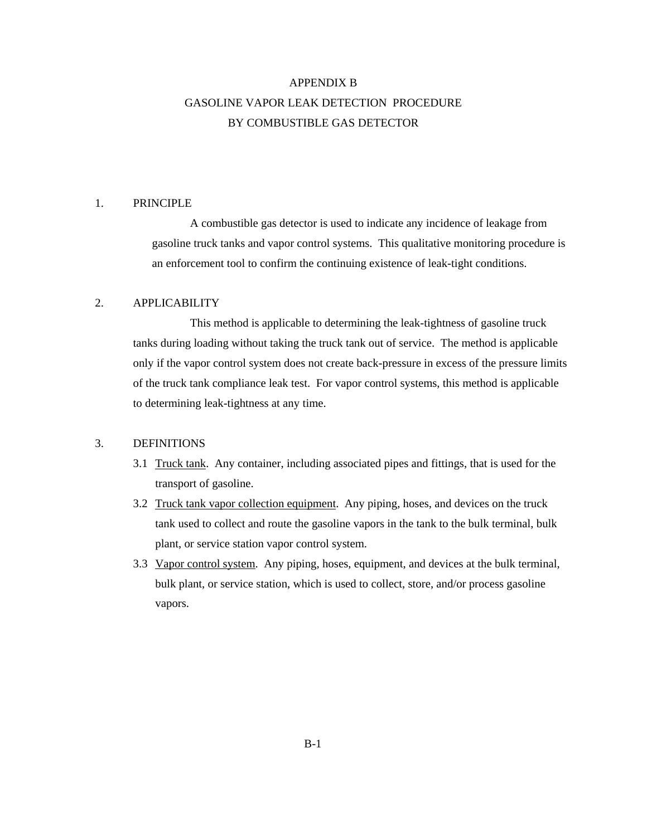# APPENDIX B GASOLINE VAPOR LEAK DETECTION PROCEDURE BY COMBUSTIBLE GAS DETECTOR

## 1. PRINCIPLE

A combustible gas detector is used to indicate any incidence of leakage from gasoline truck tanks and vapor control systems. This qualitative monitoring procedure is an enforcement tool to confirm the continuing existence of leak-tight conditions.

# 2. APPLICABILITY

This method is applicable to determining the leak-tightness of gasoline truck tanks during loading without taking the truck tank out of service. The method is applicable only if the vapor control system does not create back-pressure in excess of the pressure limits of the truck tank compliance leak test. For vapor control systems, this method is applicable to determining leak-tightness at any time.

### 3. DEFINITIONS

- 3.1 Truck tank. Any container, including associated pipes and fittings, that is used for the transport of gasoline.
- 3.2 Truck tank vapor collection equipment. Any piping, hoses, and devices on the truck tank used to collect and route the gasoline vapors in the tank to the bulk terminal, bulk plant, or service station vapor control system.
- 3.3 Vapor control system. Any piping, hoses, equipment, and devices at the bulk terminal, bulk plant, or service station, which is used to collect, store, and/or process gasoline vapors.